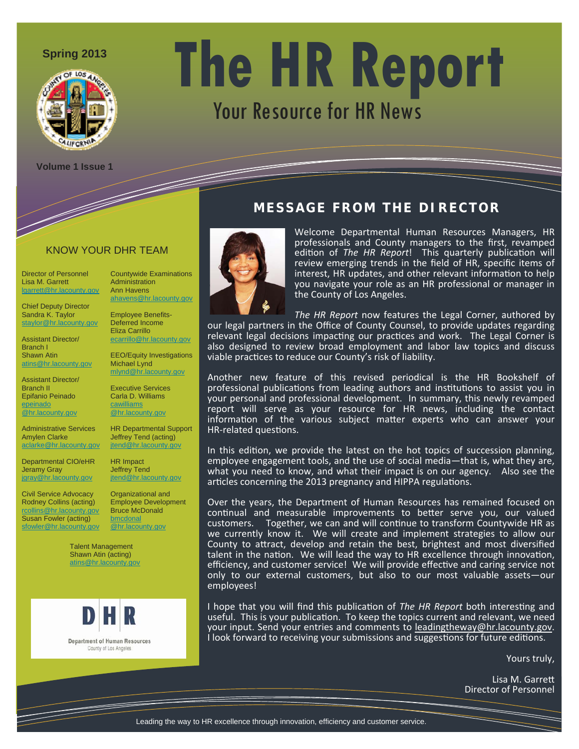

# **Spring 2013 The HR Report** Your Resource for HR News

**Volume 1 Issue 1** 

### KNOW YOUR DHR TEAM

Director of Personnel Lisa M. Garrett lgarrett@hr.lacounty.gov

Chief Deputy Director Sandra K. Taylor staylor@hr.lacounty.gov

Assistant Director/ Branch I Shawn Atin atins@hr.lacounty.gov

Assistant Director/ Branch II Epifanio Peinado epeinado @hr.lacounty.gov

Administrative Services Amylen Clarke aclarke@hr.lacounty.gov

Departmental CIO/eHR Jeramy Gray jgray@hr.lacounty.gov

Civil Service Advocacy Rodney Collins (acting) <u>r.gov</u> Susan Fowler (acting) sfowler@hr.lacounty.gov

Administration Ann Havens ahavens@hr.lacounty.gov Employee Benefits-

Countywide Examinations

Deferred Income Eliza Carrillo ecarrillo@hr.lacounty.gov

EEO/Equity Investigations Michael Lynd mlynd@hr.lacounty.gov

Executive Services Carla D. Williams **cawilliams** @hr.lacounty.gov

HR Departmental Support Jeffrey Tend (acting) jtend@hr.lacounty.gov

HR Impact Jeffrey Tend jtend@hr.lacounty.gov

Employee Development Bruce McDonald **bmcdonal** @hr.lacounty.gov

Talent Management Shawn Atin (acting) atins@hr.lacounty.gov



**Department of Human Resources** County of Los Angeles

Organizational and

**MESSAGE FROM THE DIRECTOR**



Welcome Departmental Human Resources Managers, HR professionals and County managers to the first, revamped edition of *The HR Report*! This quarterly publication will review emerging trends in the field of HR, specific items of interest, HR updates, and other relevant information to help you navigate your role as an HR professional or manager in the County of Los Angeles.

*The HR Report* now features the Legal Corner, authored by our legal partners in the Office of County Counsel, to provide updates regarding relevant legal decisions impacting our practices and work. The Legal Corner is also designed to review broad employment and labor law topics and discuss viable practices to reduce our County's risk of liability.

Another new feature of this revised periodical is the HR Bookshelf of professional publications from leading authors and institutions to assist you in your personal and professional development. In summary, this newly revamped report will serve as your resource for HR news, including the contact information of the various subject matter experts who can answer your HR-related questions.

In this edition, we provide the latest on the hot topics of succession planning, employee engagement tools, and the use of social media—that is, what they are, what you need to know, and what their impact is on our agency. Also see the articles concerning the 2013 pregnancy and HIPPA regulations.

Over the years, the Department of Human Resources has remained focused on continual and measurable improvements to better serve you, our valued customers. Together, we can and will continue to transform Countywide HR as we currently know it. We will create and implement strategies to allow our County to attract, develop and retain the best, brightest and most diversified talent in the nation. We will lead the way to HR excellence through innovation, efficiency, and customer service! We will provide effective and caring service not only to our external customers, but also to our most valuable assets—our employees!

I hope that you will find this publication of *The HR Report* both interesting and useful. This is your publication. To keep the topics current and relevant, we need your input. Send your entries and comments to leadingtheway@hr.lacounty.gov. I look forward to receiving your submissions and suggestions for future editions.

Yours truly,

Lisa M. Garrett Director of Personnel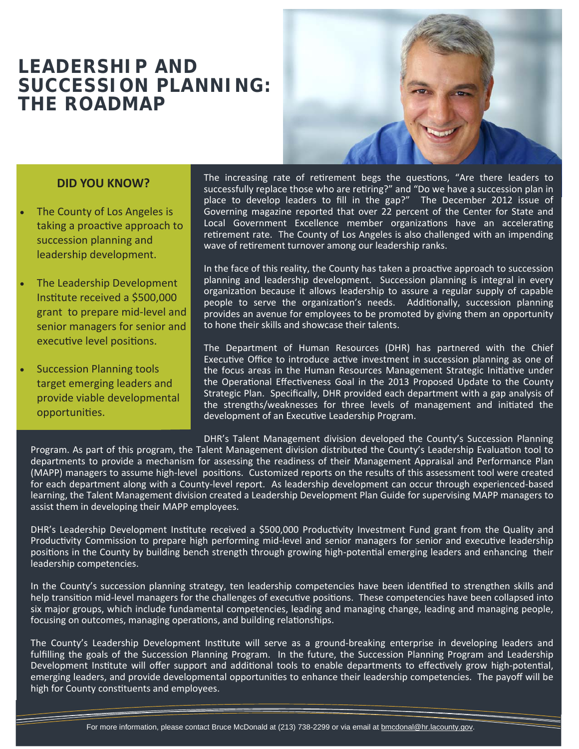### **LEADERSHIP AND SUCCESSION PLANNING: THE ROADMAP**



#### **DID YOU KNOW?**

- The County of Los Angeles is taking a proactive approach to succession planning and leadership development.
- The Leadership Development Institute received a \$500,000 grant to prepare mid‐level and senior managers for senior and executive level positions.
- Succession Planning tools target emerging leaders and provide viable developmental opportuniƟes.

The increasing rate of retirement begs the questions, "Are there leaders to successfully replace those who are retiring?" and "Do we have a succession plan in place to develop leaders to fill in the gap?" The December 2012 issue of Governing magazine reported that over 22 percent of the Center for State and Local Government Excellence member organizations have an accelerating retirement rate. The County of Los Angeles is also challenged with an impending wave of retirement turnover among our leadership ranks.

In the face of this reality, the County has taken a proactive approach to succession planning and leadership development. Succession planning is integral in every organization because it allows leadership to assure a regular supply of capable people to serve the organization's needs. Additionally, succession planning provides an avenue for employees to be promoted by giving them an opportunity to hone their skills and showcase their talents.

The Department of Human Resources (DHR) has partnered with the Chief Executive Office to introduce active investment in succession planning as one of the focus areas in the Human Resources Management Strategic Initiative under the Operational Effectiveness Goal in the 2013 Proposed Update to the County Strategic Plan. Specifically, DHR provided each department with a gap analysis of the strengths/weaknesses for three levels of management and initiated the development of an Executive Leadership Program.

DHR's Talent Management division developed the County's Succession Planning Program. As part of this program, the Talent Management division distributed the County's Leadership Evaluation tool to departments to provide a mechanism for assessing the readiness of their Management Appraisal and Performance Plan (MAPP) managers to assume high-level positions. Customized reports on the results of this assessment tool were created for each department along with a County‐level report. As leadership development can occur through experienced‐based learning, the Talent Management division created a Leadership Development Plan Guide for supervising MAPP managers to assist them in developing their MAPP employees.

DHR's Leadership Development Institute received a \$500,000 Productivity Investment Fund grant from the Quality and Productivity Commission to prepare high performing mid-level and senior managers for senior and executive leadership positions in the County by building bench strength through growing high-potential emerging leaders and enhancing their leadership competencies.

In the County's succession planning strategy, ten leadership competencies have been identified to strengthen skills and help transition mid-level managers for the challenges of executive positions. These competencies have been collapsed into six major groups, which include fundamental competencies, leading and managing change, leading and managing people, focusing on outcomes, managing operations, and building relationships.

The County's Leadership Development Institute will serve as a ground-breaking enterprise in developing leaders and fulfilling the goals of the Succession Planning Program. In the future, the Succession Planning Program and Leadership Development Institute will offer support and additional tools to enable departments to effectively grow high-potential, emerging leaders, and provide developmental opportunities to enhance their leadership competencies. The payoff will be high for County constituents and employees.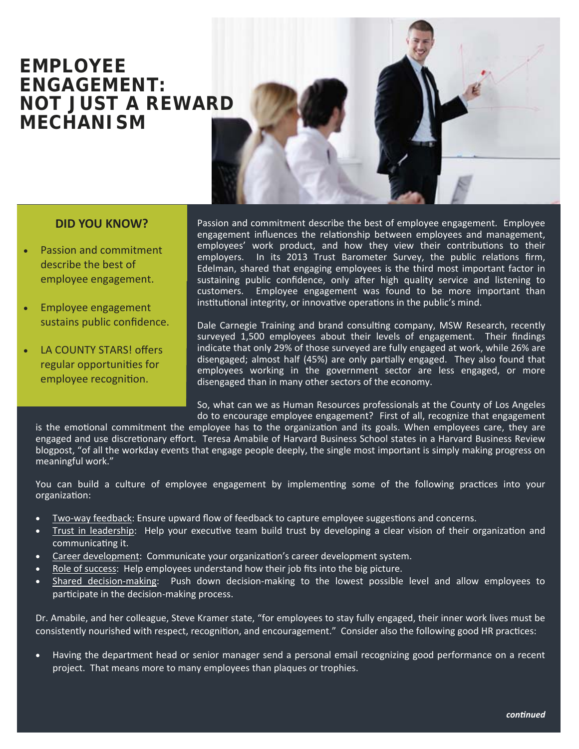### **EMPLOYEE ENGAGEMENT: NOT JUST A REWARD MECHANISM**



#### **DID YOU KNOW?**

- Passion and commitment describe the best of employee engagement.
- Employee engagement sustains public confidence.
- LA COUNTY STARS! offers regular opportunities for employee recognition.

Passion and commitment describe the best of employee engagement. Employee engagement influences the relationship between employees and management, employees' work product, and how they view their contributions to their employers. In its 2013 Trust Barometer Survey, the public relations firm, Edelman, shared that engaging employees is the third most important factor in sustaining public confidence, only after high quality service and listening to customers. Employee engagement was found to be more important than institutional integrity, or innovative operations in the public's mind.

Dale Carnegie Training and brand consulting company, MSW Research, recently surveyed 1,500 employees about their levels of engagement. Their findings indicate that only 29% of those surveyed are fully engaged at work, while 26% are disengaged; almost half (45%) are only partially engaged. They also found that employees working in the government sector are less engaged, or more disengaged than in many other sectors of the economy.

So, what can we as Human Resources professionals at the County of Los Angeles do to encourage employee engagement? First of all, recognize that engagement

is the emotional commitment the employee has to the organization and its goals. When employees care, they are engaged and use discretionary effort. Teresa Amabile of Harvard Business School states in a Harvard Business Review blogpost, "of all the workday events that engage people deeply, the single most important is simply making progress on meaningful work."

You can build a culture of employee engagement by implementing some of the following practices into your organizaƟon:

- Two-way feedback: Ensure upward flow of feedback to capture employee suggestions and concerns.
- Trust in leadership: Help your executive team build trust by developing a clear vision of their organization and communicating it.
- Career development: Communicate your organization's career development system.
- Role of success: Help employees understand how their job fits into the big picture.
- Shared decision‐making: Push down decision‐making to the lowest possible level and allow employees to participate in the decision-making process.

Dr. Amabile, and her colleague, Steve Kramer state, "for employees to stay fully engaged, their inner work lives must be consistently nourished with respect, recognition, and encouragement." Consider also the following good HR practices:

• Having the department head or senior manager send a personal email recognizing good performance on a recent project. That means more to many employees than plaques or trophies.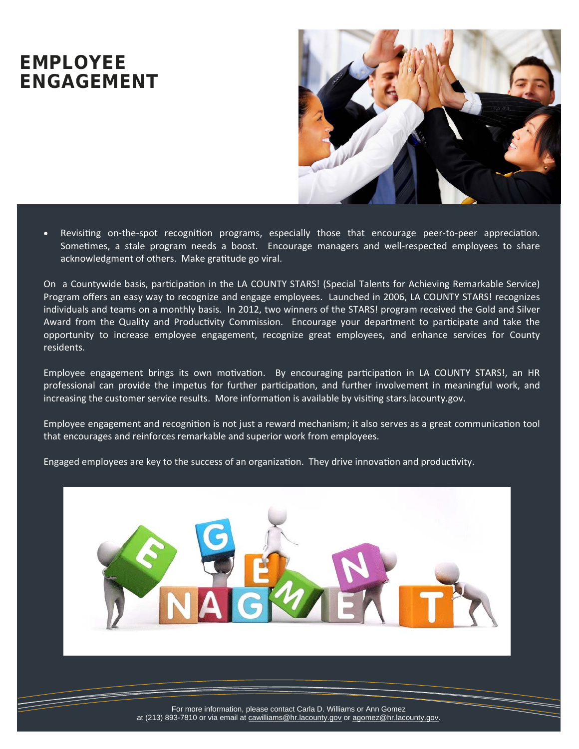### **EMPLOYEE ENGAGEMENT**



Revisiting on-the-spot recognition programs, especially those that encourage peer-to-peer appreciation. Sometimes, a stale program needs a boost. Encourage managers and well-respected employees to share acknowledgment of others. Make gratitude go viral.

On a Countywide basis, participation in the LA COUNTY STARS! (Special Talents for Achieving Remarkable Service) Program offers an easy way to recognize and engage employees. Launched in 2006, LA COUNTY STARS! recognizes individuals and teams on a monthly basis. In 2012, two winners of the STARS! program received the Gold and Silver Award from the Quality and Productivity Commission. Encourage your department to participate and take the opportunity to increase employee engagement, recognize great employees, and enhance services for County residents.

Employee engagement brings its own motivation. By encouraging participation in LA COUNTY STARS!, an HR professional can provide the impetus for further participation, and further involvement in meaningful work, and increasing the customer service results. More information is available by visiting stars.lacounty.gov.

Employee engagement and recognition is not just a reward mechanism; it also serves as a great communication tool that encourages and reinforces remarkable and superior work from employees.

Engaged employees are key to the success of an organization. They drive innovation and productivity.

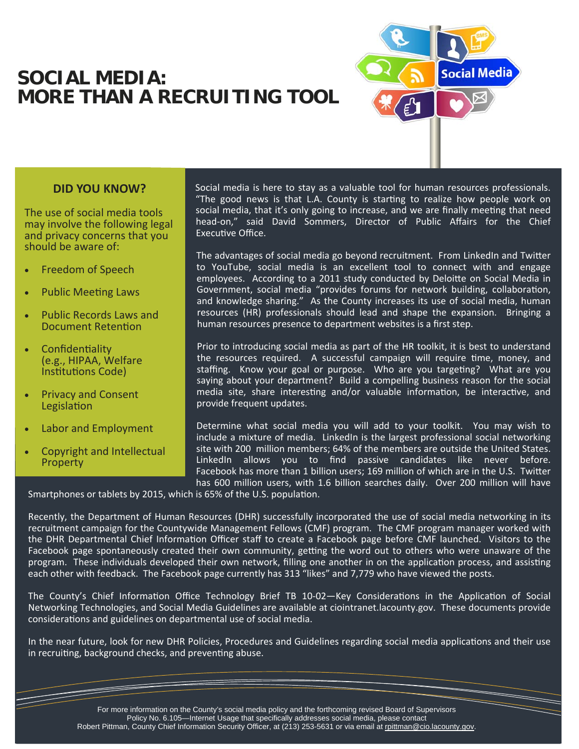### **SOCIAL MEDIA: MORE THAN A RECRUITING TOOL**



### **DID YOU KNOW?**

The use of social media tools may involve the following legal and privacy concerns that you should be aware of:

- Freedom of Speech
- Public Meeting Laws
- Public Records Laws and Document Retention
- **Confidentiality** (e.g., HIPAA, Welfare Institutions Code)
- Privacy and Consent Legislation
- Labor and Employment
- Copyright and Intellectual **Property**

Social media is here to stay as a valuable tool for human resources professionals. "The good news is that L.A. County is starting to realize how people work on social media, that it's only going to increase, and we are finally meeting that need head-on," said David Sommers, Director of Public Affairs for the Chief Executive Office.

The advantages of social media go beyond recruitment. From LinkedIn and Twitter to YouTube, social media is an excellent tool to connect with and engage employees. According to a 2011 study conducted by Deloitte on Social Media in Government, social media "provides forums for network building, collaboration, and knowledge sharing." As the County increases its use of social media, human resources (HR) professionals should lead and shape the expansion. Bringing a human resources presence to department websites is a first step.

Prior to introducing social media as part of the HR toolkit, it is best to understand the resources required. A successful campaign will require time, money, and staffing. Know your goal or purpose. Who are you targeting? What are you saying about your department? Build a compelling business reason for the social media site, share interesting and/or valuable information, be interactive, and provide frequent updates.

Determine what social media you will add to your toolkit. You may wish to include a mixture of media. LinkedIn is the largest professional social networking site with 200 million members; 64% of the members are outside the United States. LinkedIn allows you to find passive candidates like never before. Facebook has more than 1 billion users; 169 million of which are in the U.S. Twitter has 600 million users, with 1.6 billion searches daily. Over 200 million will have

Smartphones or tablets by 2015, which is 65% of the U.S. population.

Recently, the Department of Human Resources (DHR) successfully incorporated the use of social media networking in its recruitment campaign for the Countywide Management Fellows (CMF) program. The CMF program manager worked with the DHR Departmental Chief Information Officer staff to create a Facebook page before CMF launched. Visitors to the Facebook page spontaneously created their own community, getting the word out to others who were unaware of the program. These individuals developed their own network, filling one another in on the application process, and assisting each other with feedback. The Facebook page currently has 313 "likes" and 7,779 who have viewed the posts.

The County's Chief Information Office Technology Brief TB 10-02—Key Considerations in the Application of Social Networking Technologies, and Social Media Guidelines are available at ciointranet.lacounty.gov. These documents provide considerations and guidelines on departmental use of social media.

In the near future, look for new DHR Policies, Procedures and Guidelines regarding social media applications and their use in recruiting, background checks, and preventing abuse.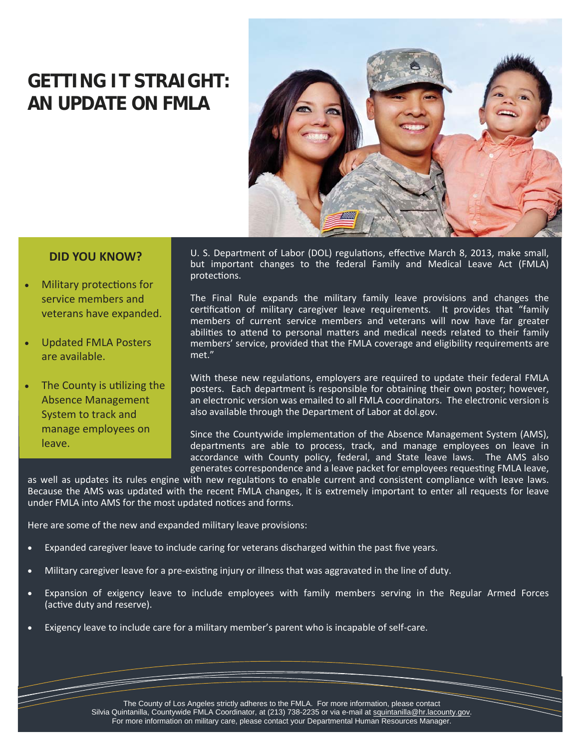## **GETTING IT STRAIGHT: AN UPDATE ON FMLA**



#### **DID YOU KNOW?**

- Military protections for service members and veterans have expanded.
- Updated FMLA Posters are available.
- The County is utilizing the Absence Management System to track and manage employees on leave.

U. S. Department of Labor (DOL) regulations, effective March 8, 2013, make small, but important changes to the federal Family and Medical Leave Act (FMLA) protections.

The Final Rule expands the military family leave provisions and changes the certification of military caregiver leave requirements. It provides that "family members of current service members and veterans will now have far greater abilities to attend to personal matters and medical needs related to their family members' service, provided that the FMLA coverage and eligibility requirements are met."

With these new regulations, employers are required to update their federal FMLA posters. Each department is responsible for obtaining their own poster; however, an electronic version was emailed to all FMLA coordinators. The electronic version is also available through the Department of Labor at dol.gov.

Since the Countywide implementation of the Absence Management System (AMS), departments are able to process, track, and manage employees on leave in accordance with County policy, federal, and State leave laws. The AMS also generates correspondence and a leave packet for employees requesting FMLA leave,

as well as updates its rules engine with new regulations to enable current and consistent compliance with leave laws. Because the AMS was updated with the recent FMLA changes, it is extremely important to enter all requests for leave under FMLA into AMS for the most updated notices and forms.

Here are some of the new and expanded military leave provisions:

- Expanded caregiver leave to include caring for veterans discharged within the past five years.
- Military caregiver leave for a pre-existing injury or illness that was aggravated in the line of duty.
- Expansion of exigency leave to include employees with family members serving in the Regular Armed Forces (active duty and reserve).
- Exigency leave to include care for a military member's parent who is incapable of self-care.

The County of Los Angeles strictly adheres to the FMLA. For more information, please contact Silvia Quintanilla, Countywide FMLA Coordinator, at (213) 738-2235 or via e-mail at squintanilla@hr.lacounty.gov. For more information on military care, please contact your Departmental Human Resources Manager.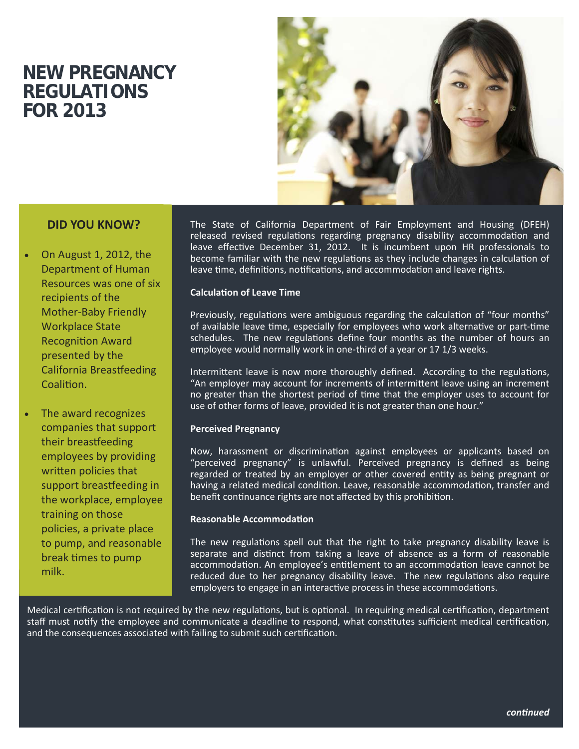### **NEW PREGNANCY REGULATIONS FOR 2013**



### **DID YOU KNOW?**

• On August 1, 2012, the Department of Human Resources was one of six recipients of the Mother‐Baby Friendly Workplace State **Recognition Award** presented by the California Breasƞeeding Coalition.

• The award recognizes companies that support their breastfeeding employees by providing written policies that support breastfeeding in the workplace, employee training on those policies, a private place to pump, and reasonable break times to pump milk.

The State of California Department of Fair Employment and Housing (DFEH) released revised regulations regarding pregnancy disability accommodation and leave effective December 31, 2012. It is incumbent upon HR professionals to become familiar with the new regulations as they include changes in calculation of leave time, definitions, notifications, and accommodation and leave rights.

#### **CalculaƟon of Leave Time**

Previously, regulations were ambiguous regarding the calculation of "four months" of available leave time, especially for employees who work alternative or part-time schedules. The new regulations define four months as the number of hours an employee would normally work in one‐third of a year or 17 1/3 weeks.

Intermittent leave is now more thoroughly defined. According to the regulations, "An employer may account for increments of intermittent leave using an increment no greater than the shortest period of time that the employer uses to account for use of other forms of leave, provided it is not greater than one hour."

#### **Perceived Pregnancy**

Now, harassment or discrimination against employees or applicants based on "perceived pregnancy" is unlawful. Perceived pregnancy is defined as being regarded or treated by an employer or other covered entity as being pregnant or having a related medical condition. Leave, reasonable accommodation, transfer and benefit continuance rights are not affected by this prohibition.

#### **Reasonable AccommodaƟon**

The new regulations spell out that the right to take pregnancy disability leave is separate and distinct from taking a leave of absence as a form of reasonable accommodation. An employee's entitlement to an accommodation leave cannot be reduced due to her pregnancy disability leave. The new regulations also require employers to engage in an interactive process in these accommodations.

Medical certification is not required by the new regulations, but is optional. In requiring medical certification, department staff must notify the employee and communicate a deadline to respond, what constitutes sufficient medical certification, and the consequences associated with failing to submit such certification.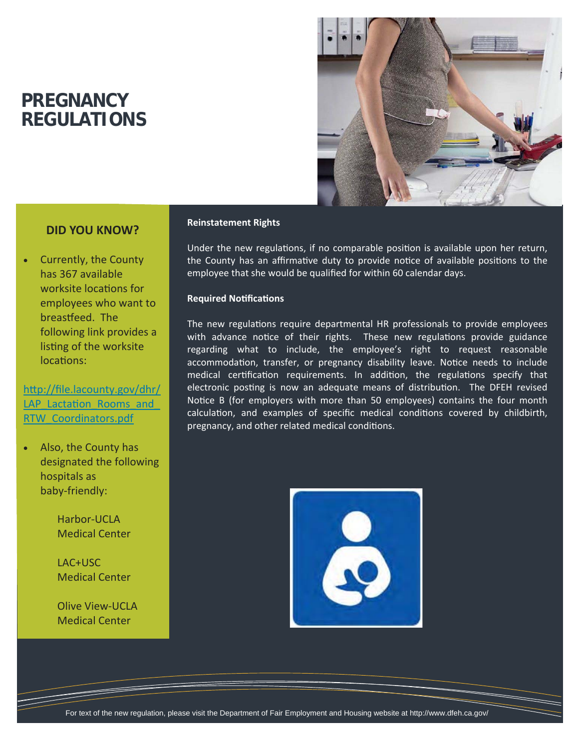### **PREGNANCY REGULATIONS**



#### **DID YOU KNOW?**

• Currently, the County has 367 available worksite locations for employees who want to breastfeed. The following link provides a listing of the worksite locations:

http://file.lacounty.gov/dhr/ LAP\_Lactation\_Rooms\_and **RTW** Coordinators.pdf

• Also, the County has designated the following hospitals as baby‐friendly:

> Harbor‐UCLA Medical Center

> LAC+USC Medical Center

 Olive View‐UCLA Medical Center

#### **Reinstatement Rights**

Under the new regulations, if no comparable position is available upon her return, the County has an affirmative duty to provide notice of available positions to the employee that she would be qualified for within 60 calendar days.

#### **Required NoƟficaƟons**

The new regulations require departmental HR professionals to provide employees with advance notice of their rights. These new regulations provide guidance regarding what to include, the employee's right to request reasonable accommodation, transfer, or pregnancy disability leave. Notice needs to include medical certification requirements. In addition, the regulations specify that electronic posting is now an adequate means of distribution. The DFEH revised Notice B (for employers with more than 50 employees) contains the four month calculation, and examples of specific medical conditions covered by childbirth, pregnancy, and other related medical conditions.

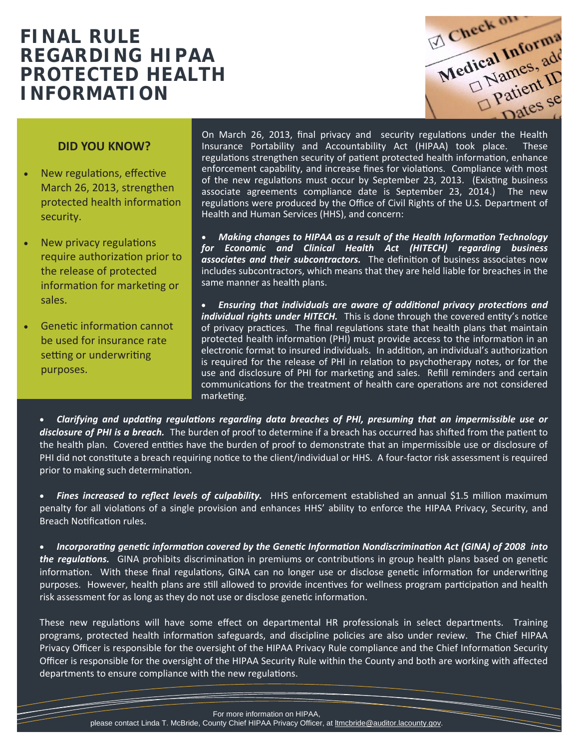### **FINAL RULE REGARDING HIPAA PROTECTED HEALTH INFORMATION**

Check on Medical Information patienes se

#### **DID YOU KNOW?**

- New regulations, effective March 26, 2013, strengthen protected health information security.
- New privacy regulations require authorization prior to the release of protected information for marketing or sales.
- Genetic information cannot be used for insurance rate setting or underwriting purposes.

On March 26, 2013, final privacy and security regulations under the Health Insurance Portability and Accountability Act (HIPAA) took place. These regulations strengthen security of patient protected health information, enhance enforcement capability, and increase fines for violations. Compliance with most of the new regulations must occur by September 23, 2013. (Existing business associate agreements compliance date is September 23, 2014.) The new regulations were produced by the Office of Civil Rights of the U.S. Department of Health and Human Services (HHS), and concern:

• *Making changes to HIPAA as a result of the Health InformaƟon Technology for Economic and Clinical Health Act (HITECH) regarding business*  associates and their subcontractors. The definition of business associates now includes subcontractors, which means that they are held liable for breaches in the same manner as health plans.

• *Ensuring that individuals are aware of addiƟonal privacy protecƟons and individual rights under HITECH.* This is done through the covered entity's notice of privacy practices. The final regulations state that health plans that maintain protected health information (PHI) must provide access to the information in an electronic format to insured individuals. In addition, an individual's authorization is required for the release of PHI in relation to psychotherapy notes, or for the use and disclosure of PHI for marketing and sales. Refill reminders and certain communications for the treatment of health care operations are not considered marketing.

• *Clarifying and updaƟng regulaƟons regarding data breaches of PHI, presuming that an impermissible use or disclosure of PHI is a breach.* The burden of proof to determine if a breach has occurred has shifted from the patient to the health plan. Covered entities have the burden of proof to demonstrate that an impermissible use or disclosure of PHI did not constitute a breach requiring notice to the client/individual or HHS. A four-factor risk assessment is required prior to making such determination.

• *Fines increased to reflect levels of culpability.* HHS enforcement established an annual \$1.5 million maximum penalty for all violations of a single provision and enhances HHS' ability to enforce the HIPAA Privacy, Security, and Breach Notification rules.

• *IncorporaƟng geneƟc informaƟon covered by the GeneƟc InformaƟon NondiscriminaƟon Act (GINA) of 2008 into the requlations.* GINA prohibits discrimination in premiums or contributions in group health plans based on genetic information. With these final regulations, GINA can no longer use or disclose genetic information for underwriting purposes. However, health plans are still allowed to provide incentives for wellness program participation and health risk assessment for as long as they do not use or disclose genetic information.

These new regulations will have some effect on departmental HR professionals in select departments. Training programs, protected health information safeguards, and discipline policies are also under review. The Chief HIPAA Privacy Officer is responsible for the oversight of the HIPAA Privacy Rule compliance and the Chief Information Security Officer is responsible for the oversight of the HIPAA Security Rule within the County and both are working with affected departments to ensure compliance with the new regulations.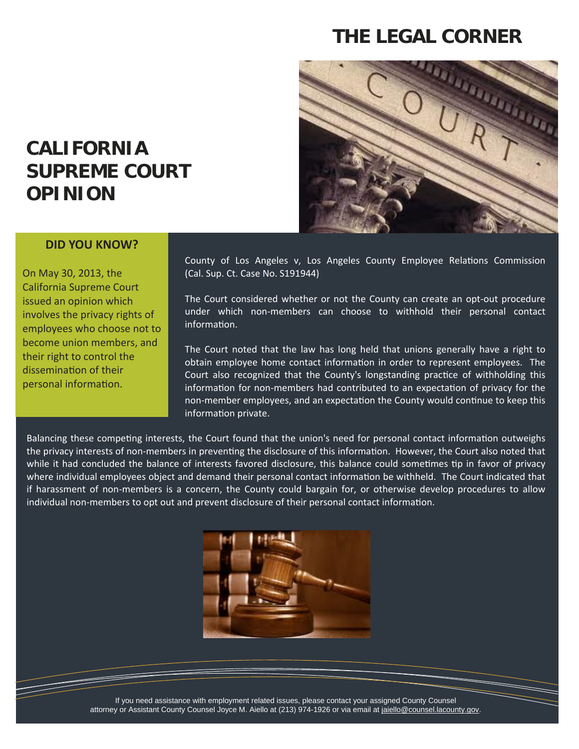### **THE LEGAL CORNER**



### **CALIFORNIA SUPREME COURT OPINION**

#### **DID YOU KNOW?**

On May 30, 2013, the California Supreme Court issued an opinion which involves the privacy rights of employees who choose not to become union members, and their right to control the dissemination of their personal information.

County of Los Angeles v, Los Angeles County Employee Relations Commission (Cal. Sup. Ct. Case No. S191944)

The Court considered whether or not the County can create an opt-out procedure under which non‐members can choose to withhold their personal contact information.

The Court noted that the law has long held that unions generally have a right to obtain employee home contact information in order to represent employees. The Court also recognized that the County's longstanding practice of withholding this information for non-members had contributed to an expectation of privacy for the non-member employees, and an expectation the County would continue to keep this information private.

Balancing these competing interests, the Court found that the union's need for personal contact information outweighs the privacy interests of non-members in preventing the disclosure of this information. However, the Court also noted that while it had concluded the balance of interests favored disclosure, this balance could sometimes tip in favor of privacy where individual employees object and demand their personal contact information be withheld. The Court indicated that if harassment of non‐members is a concern, the County could bargain for, or otherwise develop procedures to allow individual non-members to opt out and prevent disclosure of their personal contact information.



If you need assistance with employment related issues, please contact your assigned County Counsel attorney or Assistant County Counsel Joyce M. Aiello at (213) 974-1926 or via email at jaiello@counsel.lacounty.gov.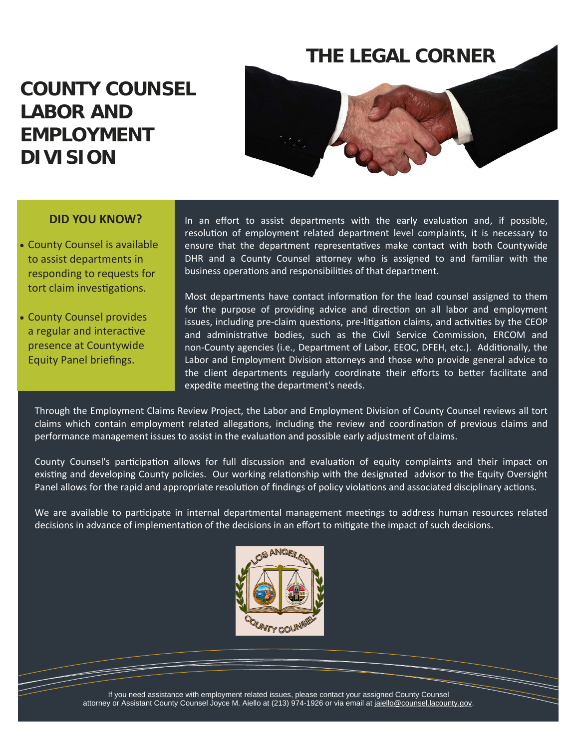### **THE LEGAL CORNER**

### **COUNTY COUNSEL LABOR AND EMPLOYMENT DIVISION**



#### **DID YOU KNOW?**

- County Counsel is available to assist departments in responding to requests for tort claim investigations.
- County Counsel provides a regular and interactive presence at Countywide Equity Panel briefings.

In an effort to assist departments with the early evaluation and, if possible, resolution of employment related department level complaints, it is necessary to ensure that the department representatives make contact with both Countywide DHR and a County Counsel attorney who is assigned to and familiar with the business operations and responsibilities of that department.

Most departments have contact information for the lead counsel assigned to them for the purpose of providing advice and direction on all labor and employment issues, including pre-claim questions, pre-litigation claims, and activities by the CEOP and administrative bodies, such as the Civil Service Commission, ERCOM and non-County agencies (i.e., Department of Labor, EEOC, DFEH, etc.). Additionally, the Labor and Employment Division attorneys and those who provide general advice to the client departments regularly coordinate their efforts to better facilitate and expedite meeting the department's needs.

Through the Employment Claims Review Project, the Labor and Employment Division of County Counsel reviews all tort claims which contain employment related allegations, including the review and coordination of previous claims and performance management issues to assist in the evaluation and possible early adjustment of claims.

County Counsel's participation allows for full discussion and evaluation of equity complaints and their impact on existing and developing County policies. Our working relationship with the designated advisor to the Equity Oversight Panel allows for the rapid and appropriate resolution of findings of policy violations and associated disciplinary actions.

We are available to participate in internal departmental management meetings to address human resources related decisions in advance of implementation of the decisions in an effort to mitigate the impact of such decisions.



If you need assistance with employment related issues, please contact your assigned County Counsel attorney or Assistant County Counsel Joyce M. Aiello at (213) 974-1926 or via email at jaiello@counsel.lacounty.gov.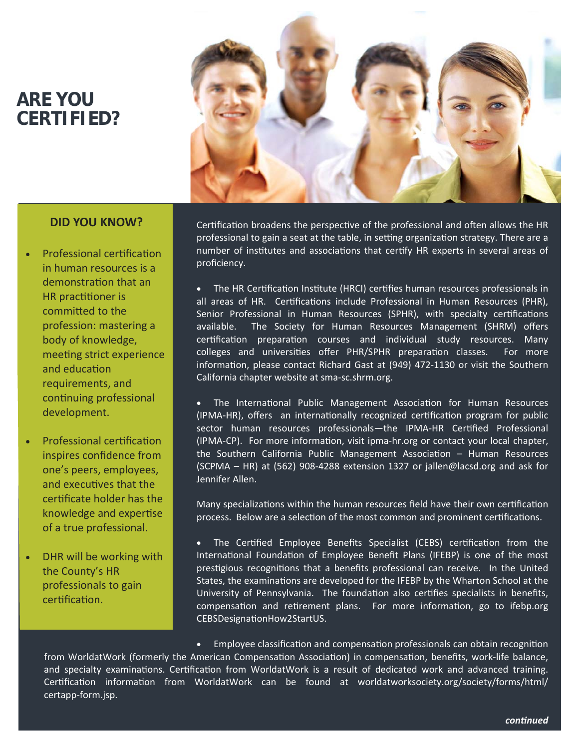### **ARE YOU CERTIFIED?**



#### **DID YOU KNOW?**

- Professional certification in human resources is a demonstration that an HR practitioner is committed to the profession: mastering a body of knowledge, meeting strict experience and education requirements, and continuing professional development.
- Professional certification inspires confidence from one's peers, employees, and executives that the certificate holder has the knowledge and expertise of a true professional.
- DHR will be working with the County's HR professionals to gain certification.

Certification broadens the perspective of the professional and often allows the HR professional to gain a seat at the table, in setting organization strategy. There are a number of institutes and associations that certify HR experts in several areas of proficiency.

The HR Certification Institute (HRCI) certifies human resources professionals in all areas of HR. Certifications include Professional in Human Resources (PHR), Senior Professional in Human Resources (SPHR), with specialty certifications available. The Society for Human Resources Management (SHRM) offers certification preparation courses and individual study resources. Many colleges and universities offer PHR/SPHR preparation classes. For more information, please contact Richard Gast at (949) 472-1130 or visit the Southern California chapter website at sma‐sc.shrm.org.

The International Public Management Association for Human Resources (IPMA-HR), offers an internationally recognized certification program for public sector human resources professionals—the IPMA-HR Certified Professional (IPMA-CP). For more information, visit ipma-hr.org or contact your local chapter, the Southern California Public Management Association - Human Resources (SCPMA – HR) at (562) 908‐4288 extension 1327 or jallen@lacsd.org and ask for Jennifer Allen.

Many specializations within the human resources field have their own certification process. Below are a selection of the most common and prominent certifications.

The Certified Employee Benefits Specialist (CEBS) certification from the International Foundation of Employee Benefit Plans (IFEBP) is one of the most prestigious recognitions that a benefits professional can receive. In the United States, the examinations are developed for the IFEBP by the Wharton School at the University of Pennsylvania. The foundation also certifies specialists in benefits, compensation and retirement plans. For more information, go to ifebp.org CEBSDesignaƟonHow2StartUS.

• Employee classification and compensation professionals can obtain recognition from WorldatWork (formerly the American Compensation Association) in compensation, benefits, work-life balance, and specialty examinations. Certification from WorldatWork is a result of dedicated work and advanced training. Certification information from WorldatWork can be found at worldatworksociety.org/society/forms/html/ certapp‐form.jsp.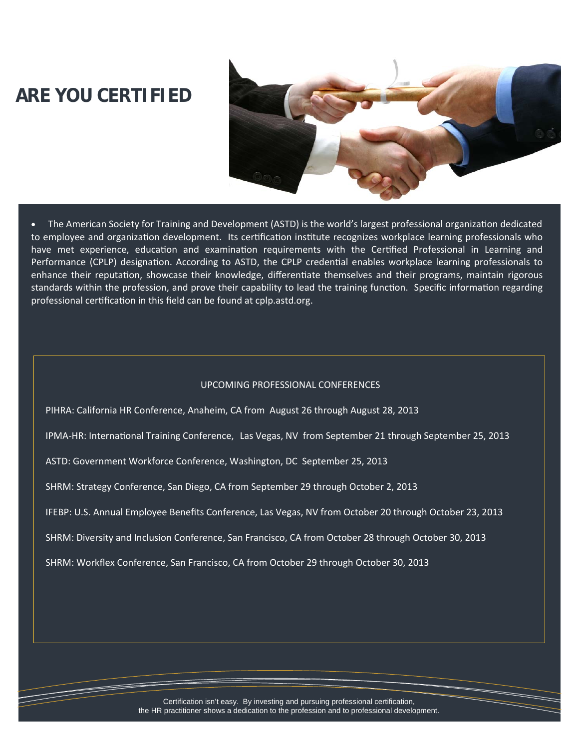### **ARE YOU CERTIFIED**



• The American Society for Training and Development (ASTD) is the world's largest professional organization dedicated to employee and organization development. Its certification institute recognizes workplace learning professionals who have met experience, education and examination requirements with the Certified Professional in Learning and Performance (CPLP) designation. According to ASTD, the CPLP credential enables workplace learning professionals to enhance their reputation, showcase their knowledge, differentiate themselves and their programs, maintain rigorous standards within the profession, and prove their capability to lead the training function. Specific information regarding professional certification in this field can be found at cplp.astd.org.

#### UPCOMING PROFESSIONAL CONFERENCES

PIHRA: California HR Conference, Anaheim, CA from August 26 through August 28, 2013

IPMA-HR: International Training Conference, Las Vegas, NV from September 21 through September 25, 2013

ASTD: Government Workforce Conference, Washington, DC September 25, 2013

SHRM: Strategy Conference, San Diego, CA from September 29 through October 2, 2013

IFEBP: U.S. Annual Employee Benefits Conference, Las Vegas, NV from October 20 through October 23, 2013

SHRM: Diversity and Inclusion Conference, San Francisco, CA from October 28 through October 30, 2013

SHRM: Workflex Conference, San Francisco, CA from October 29 through October 30, 2013

Certification isn't easy. By investing and pursuing professional certification, the HR practitioner shows a dedication to the profession and to professional development.